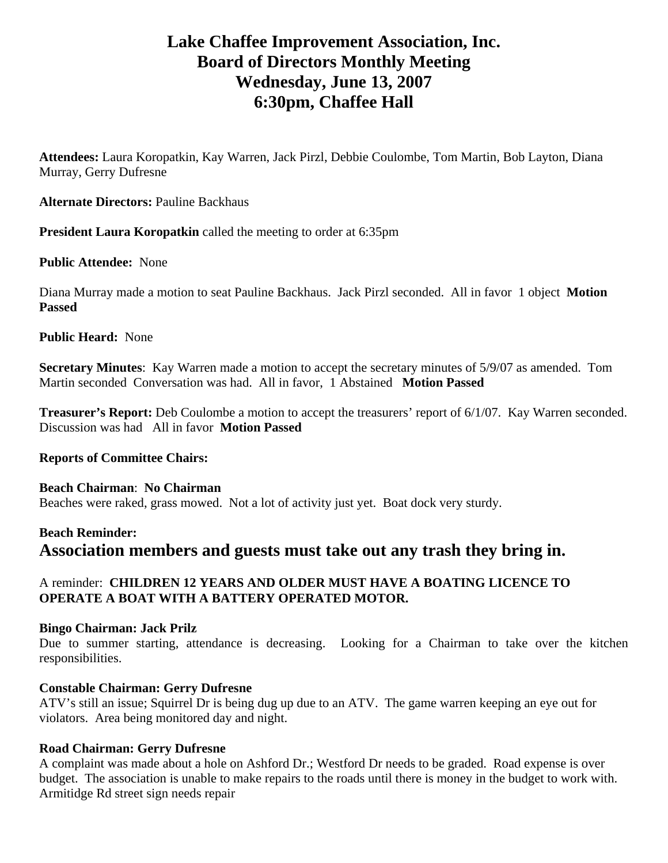# **Lake Chaffee Improvement Association, Inc. Board of Directors Monthly Meeting Wednesday, June 13, 2007 6:30pm, Chaffee Hall**

**Attendees:** Laura Koropatkin, Kay Warren, Jack Pirzl, Debbie Coulombe, Tom Martin, Bob Layton, Diana Murray, Gerry Dufresne

**Alternate Directors:** Pauline Backhaus

**President Laura Koropatkin** called the meeting to order at 6:35pm

# **Public Attendee:** None

Diana Murray made a motion to seat Pauline Backhaus. Jack Pirzl seconded. All in favor 1 object **Motion Passed**

# **Public Heard:** None

**Secretary Minutes**: Kay Warren made a motion to accept the secretary minutes of 5/9/07 as amended. Tom Martin seconded Conversation was had. All in favor, 1 Abstained **Motion Passed** 

**Treasurer's Report:** Deb Coulombe a motion to accept the treasurers' report of 6/1/07. Kay Warren seconded. Discussion was had All in favor **Motion Passed**

#### **Reports of Committee Chairs:**

#### **Beach Chairman**: **No Chairman** Beaches were raked, grass mowed. Not a lot of activity just yet. Boat dock very sturdy.

# **Beach Reminder: Association members and guests must take out any trash they bring in.**

# A reminder: **CHILDREN 12 YEARS AND OLDER MUST HAVE A BOATING LICENCE TO OPERATE A BOAT WITH A BATTERY OPERATED MOTOR.**

#### **Bingo Chairman: Jack Prilz**

Due to summer starting, attendance is decreasing. Looking for a Chairman to take over the kitchen responsibilities.

#### **Constable Chairman: Gerry Dufresne**

ATV's still an issue; Squirrel Dr is being dug up due to an ATV. The game warren keeping an eye out for violators. Area being monitored day and night.

#### **Road Chairman: Gerry Dufresne**

A complaint was made about a hole on Ashford Dr.; Westford Dr needs to be graded. Road expense is over budget. The association is unable to make repairs to the roads until there is money in the budget to work with. Armitidge Rd street sign needs repair